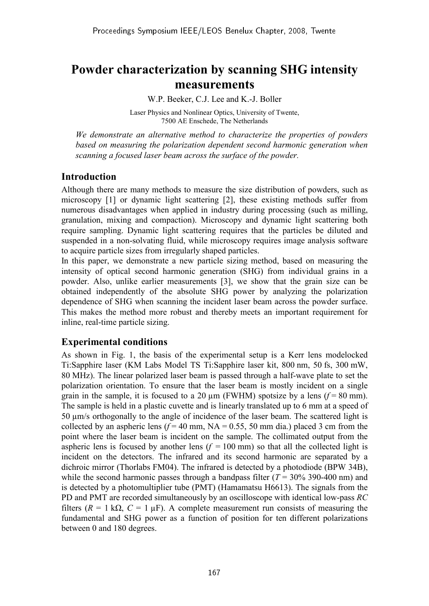# **Powder characterization by scanning SHG intensity measurements**

W.P. Beeker, C.J. Lee and K.-J. Boller

Laser Physics and Nonlinear Optics, University of Twente, 7500 AE Enschede, The Netherlands

 *We demonstrate an alternative method to characterize the properties of powders based on measuring the polarization dependent second harmonic generation when scanning a focused laser beam across the surface of the powder.* 

## **Introduction**

Although there are many methods to measure the size distribution of powders, such as microscopy [1] or dynamic light scattering [2], these existing methods suffer from numerous disadvantages when applied in industry during processing (such as milling, granulation, mixing and compaction). Microscopy and dynamic light scattering both require sampling. Dynamic light scattering requires that the particles be diluted and suspended in a non-solvating fluid, while microscopy requires image analysis software to acquire particle sizes from irregularly shaped particles.

In this paper, we demonstrate a new particle sizing method, based on measuring the intensity of optical second harmonic generation (SHG) from individual grains in a powder. Also, unlike earlier measurements [3], we show that the grain size can be obtained independently of the absolute SHG power by analyzing the polarization dependence of SHG when scanning the incident laser beam across the powder surface. This makes the method more robust and thereby meets an important requirement for inline, real-time particle sizing.

## **Experimental conditions**

As shown in Fig. 1, the basis of the experimental setup is a Kerr lens modelocked Ti:Sapphire laser (KM Labs Model TS Ti:Sapphire laser kit, 800 nm, 50 fs, 300 mW, 80 MHz). The linear polarized laser beam is passed through a half-wave plate to set the polarization orientation. To ensure that the laser beam is mostly incident on a single grain in the sample, it is focused to a 20  $\mu$ m (FWHM) spotsize by a lens ( $f = 80$  mm). The sample is held in a plastic cuvette and is linearly translated up to 6 mm at a speed of 50 µm/s orthogonally to the angle of incidence of the laser beam. The scattered light is collected by an aspheric lens  $(f = 40 \text{ mm}, \text{NA} = 0.55, 50 \text{ mm} \text{ dia.})$  placed 3 cm from the point where the laser beam is incident on the sample. The collimated output from the aspheric lens is focused by another lens  $(f = 100 \text{ mm})$  so that all the collected light is incident on the detectors. The infrared and its second harmonic are separated by a dichroic mirror (Thorlabs FM04). The infrared is detected by a photodiode (BPW 34B), while the second harmonic passes through a bandpass filter  $(T = 30\% 390-400 \text{ nm})$  and is detected by a photomultiplier tube (PMT) (Hamamatsu H6613). The signals from the PD and PMT are recorded simultaneously by an oscilloscope with identical low-pass *RC* filters  $(R = 1 \text{ k}\Omega, C = 1 \text{ uF})$ . A complete measurement run consists of measuring the fundamental and SHG power as a function of position for ten different polarizations between 0 and 180 degrees.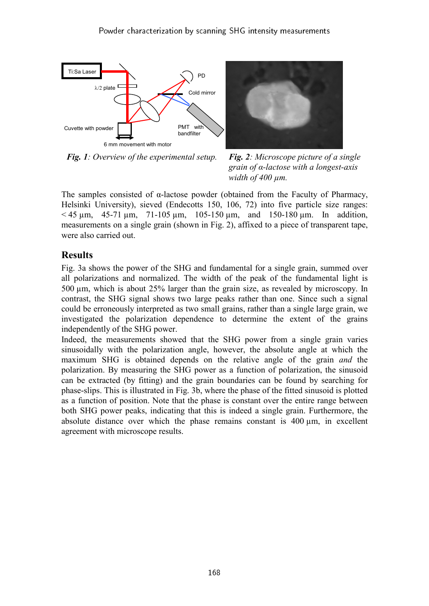



*Fig. 1: Overview of the experimental setup. Fig. 2: Microscope picture of a single* 

*grain of α-lactose with a longest-axis width of 400 µm.* 

The samples consisted of  $\alpha$ -lactose powder (obtained from the Faculty of Pharmacy, Helsinki University), sieved (Endecotts 150, 106, 72) into five particle size ranges:  $<$  45  $\mu$ m, 45-71  $\mu$ m, 71-105  $\mu$ m, 105-150  $\mu$ m, and 150-180  $\mu$ m. In addition, measurements on a single grain (shown in Fig. 2), affixed to a piece of transparent tape, were also carried out.

## **Results**

Fig. 3a shows the power of the SHG and fundamental for a single grain, summed over all polarizations and normalized. The width of the peak of the fundamental light is 500 µm, which is about 25% larger than the grain size, as revealed by microscopy. In contrast, the SHG signal shows two large peaks rather than one. Since such a signal could be erroneously interpreted as two small grains, rather than a single large grain, we investigated the polarization dependence to determine the extent of the grains independently of the SHG power.

Indeed, the measurements showed that the SHG power from a single grain varies sinusoidally with the polarization angle, however, the absolute angle at which the maximum SHG is obtained depends on the relative angle of the grain *and* the polarization. By measuring the SHG power as a function of polarization, the sinusoid can be extracted (by fitting) and the grain boundaries can be found by searching for phase-slips. This is illustrated in Fig. 3b, where the phase of the fitted sinusoid is plotted as a function of position. Note that the phase is constant over the entire range between both SHG power peaks, indicating that this is indeed a single grain. Furthermore, the absolute distance over which the phase remains constant is  $400 \mu m$ , in excellent agreement with microscope results.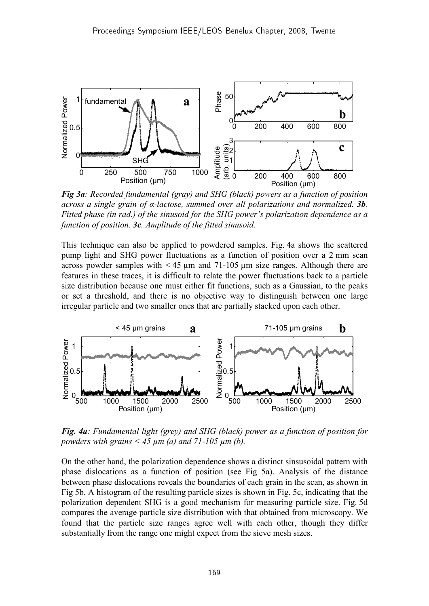

*Fig 3a: Recorded fundamental (gray) and SHG (black) powers as a function of position across a single grain of α-lactose, summed over all polarizations and normalized. 3b. Fitted phase (in rad.) of the sinusoid for the SHG power's polarization dependence as a function of position. 3c. Amplitude of the fitted sinusoid.*

This technique can also be applied to powdered samples. Fig. 4a shows the scattered pump light and SHG power fluctuations as a function of position over a 2 mm scan across powder samples with  $\leq 45$  µm and 71-105 µm size ranges. Although there are features in these traces, it is difficult to relate the power fluctuations back to a particle size distribution because one must either fit functions, such as a Gaussian, to the peaks or set a threshold, and there is no objective way to distinguish between one large irregular particle and two smaller ones that are partially stacked upon each other.



*Fig. 4a: Fundamental light (grey) and SHG (black) power as a function of position for powders with grains < 45 µm (a) and 71-105 µm (b).*

On the other hand, the polarization dependence shows a distinct sinsusoidal pattern with phase dislocations as a function of position (see Fig 5a). Analysis of the distance between phase dislocations reveals the boundaries of each grain in the scan, as shown in Fig 5b. A histogram of the resulting particle sizes is shown in Fig. 5c, indicating that the polarization dependent SHG is a good mechanism for measuring particle size. Fig. 5d compares the average particle size distribution with that obtained from microscopy. We found that the particle size ranges agree well with each other, though they differ substantially from the range one might expect from the sieve mesh sizes.